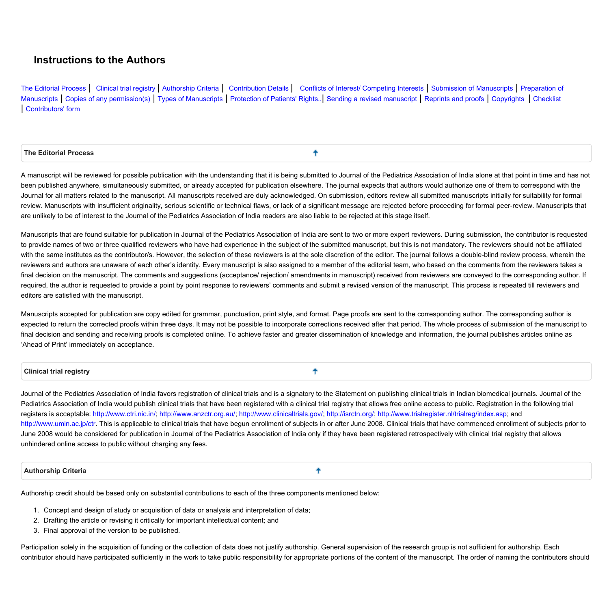# **Instructions to the Authors**

[The](#page-0-0) [Editorial](#page-0-0) [Process](#page-0-0) | [Clinical](#page-0-1) [trial](#page-0-1) [registry](#page-0-1) [|](#page-0-1) [Authorship](#page-0-2) [Criteria](#page-0-2) | [Contribution](#page-1-0) [Details](#page-1-0) | [Conflicts](#page-1-1) [of](#page-2-0) [Interest/](#page-1-1) [Competing](#page-1-1) [Interests](#page-1-1) | [Submission](#page-1-2) of [Manuscripts](#page-1-2) | [Preparation](#page-2-0) of [Manuscripts](#page-2-2) | [Copies](#page-2-1) [of](#page-6-0) [any](#page-2-1) [permission\(s\)](#page-2-1) | [Types](#page-2-2) of Manuscripts | [Protection](#page-6-0) of [Patients'](#page-6-0) [Rights..](#page-6-0) | [Sending](#page-6-1) [a](#page-6-1) [revised](#page-6-1) [manuscript](#page-6-1) | [Reprints](#page-6-2) [and](#page-6-2) [proofs](#page-6-2) | [Copyrights](#page-6-3) [|](#page-6-3) [Checklist](#page-6-4) **| [Contributors'](#page-7-0) [form](#page-7-0)**

# <span id="page-0-0"></span> **The Editorial Process**

A manuscript will be reviewed for possible publication with the understanding that it is being submitted to Journal of the Pediatrics Association of India alone at that point in time and has not been published anywhere, simultaneously submitted, or already accepted for publication elsewhere. The journal expects that authors would authorize one of them to correspond with the Journal for all matters related to the manuscript. All manuscripts received are duly acknowledged. On submission, editors review all submitted manuscripts initially for suitability for formal review. Manuscripts with insufficient originality, serious scientific or technical flaws, or lack of a significant message are rejected before proceeding for formal peer-review. Manuscripts that are unlikely to be of interest to the Journal of the Pediatrics Association of India readers are also liable to be rejected at this stage itself.

牛

Manuscripts that are found suitable for publication in Journal of the Pediatrics Association of India are sent to two or more expert reviewers. During submission, the contributor is requested to provide names of two or three qualified reviewers who have had experience in the subject of the submitted manuscript, but this is not mandatory. The reviewers should not be affiliated with the same institutes as the contributor/s. However, the selection of these reviewers is at the sole discretion of the editor. The journal follows a double-blind review process, wherein the reviewers and authors are unaware of each other's identity. Every manuscript is also assigned to a member of the editorial team, who based on the comments from the reviewers takes a final decision on the manuscript. The comments and suggestions (acceptance/ rejection/ amendments in manuscript) received from reviewers are conveyed to the corresponding author. If required, the author is requested to provide a point by point response to reviewers' comments and submit a revised version of the manuscript. This process is repeated till reviewers and **editors are satisfied with the manuscript.**

Manuscripts accepted for publication are copy edited for grammar, punctuation, print style, and format. Page proofs are sent to the corresponding author. The corresponding author is expected to return the corrected proofs within three days. It may not be possible to incorporate corrections received after that period. The whole process of submission of the manuscript to final decision and sending and receiving proofs is completed online. To achieve faster and greater dissemination of knowledge and information, the journal publishes articles online as **'Ahead of Print' immediately on acceptance.**

个

╇

### <span id="page-0-1"></span> **Clinical trial registry**

Journal of the Pediatrics Association of India favors registration of clinical trials and is a signatory to the Statement on publishing clinical trials in Indian biomedical journals. Journal of the Pediatrics Association of India would publish clinical trials that have been registered with a clinical trial registry that allows free online access to public. Registration in the following trial registers is acceptable: [http://www.ctri.nic.in/;](http://www.ctri.nic.in/) <http://www.anzctr.org.au/>; <http://www.clinicaltrials.gov/>; <http://isrctn.org/>; [http://www.trialregister.nl/trialreg/index.asp;](http://www.trialregister.nl/trialreg/index.asp) and [http://www.umin.ac.jp/ctr.](http://www.umin.ac.jp/ctr) This is applicable to clinical trials that have begun enrollment of subjects in or after June 2008. Clinical trials that have commenced enrollment of subjects prior to June 2008 would be considered for publication in Journal of the Pediatrics Association of India only if they have been registered retrospectively with clinical trial registry that allows **unhindered online access to public without charging any fees.**

### <span id="page-0-2"></span> **Authorship Criteria**

Authorship credit should be based only on substantial contributions to each of the three components mentioned below:

- **1. Concept and design of study or acquisition of data or analysis and interpretation of data;**
- **2. Drafting the article or revising it critically for important intellectual content; and**
- **3. Final approval of the version to be published.**

Participation solely in the acquisition of funding or the collection of data does not justify authorship. General supervision of the research group is not sufficient for authorship. Each contributor should have participated sufficiently in the work to take public responsibility for appropriate portions of the content of the manuscript. The order of naming the contributors should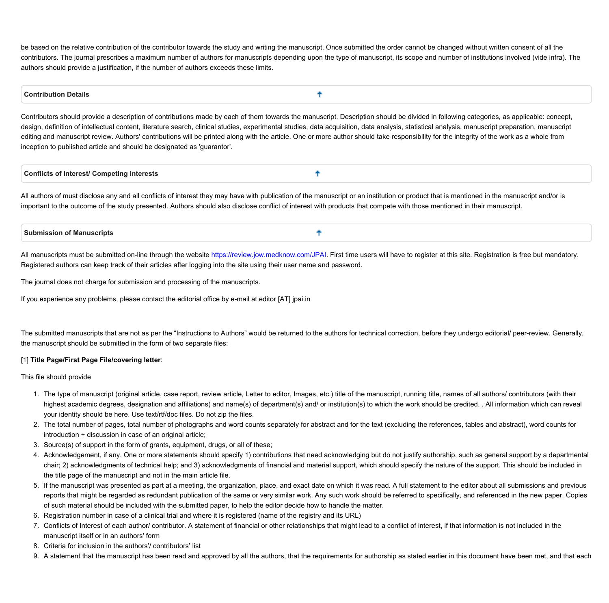be based on the relative contribution of the contributor towards the study and writing the manuscript. Once submitted the order cannot be changed without written consent of all the contributors. The journal prescribes a maximum number of authors for manuscripts depending upon the type of manuscript, its scope and number of institutions involved (vide infra). The **authors should provide a justification, if the number of authors exceeds these limits.**

牛

### <span id="page-1-0"></span> **Contribution Details**

Contributors should provide a description of contributions made by each of them towards the manuscript. Description should be divided in following categories, as applicable: concept, design, definition of intellectual content, literature search, clinical studies, experimental studies, data acquisition, data analysis, statistical analysis, manuscript preparation, manuscript editing and manuscript review. Authors' contributions will be printed along with the article. One or more author should take responsibility for the integrity of the work as a whole from **inception to published article and should be designated as 'guarantor'.** 

<span id="page-1-1"></span>

| <b>Conflicts of Interest/ Competing Interests</b> |  |
|---------------------------------------------------|--|
|---------------------------------------------------|--|

٠

All authors of must disclose any and all conflicts of interest they may have with publication of the manuscript or an institution or product that is mentioned in the manuscript and/or is important to the outcome of the study presented. Authors should also disclose conflict of interest with products that compete with those mentioned in their manuscript.

#### <span id="page-1-2"></span> **Submission of Manuscripts**

All manuscripts must be submitted on-line through the website [https://review.jow.medknow.com/JPAI.](https://review.jow.medknow.com/JPAI) First time users will have to register at this site. Registration is free but mandatory. Registered authors can keep track of their articles after logging into the site using their user name and password.

**The journal does not charge for submission and processing of the manuscripts.**

**If you experience any problems, please contact the editorial office by e-mail at editor [AT] jpai.in**

The submitted manuscripts that are not as per the "Instructions to Authors" would be returned to the authors for technical correction, before they undergo editorial/ peer-review. Generally, **the manuscript should be submitted in the form of two separate files:**

### **[1] Title Page/First Page File/covering letter:**

**This file should provide**

- 1. The type of manuscript (original article, case report, review article, Letter to editor, Images, etc.) title of the manuscript, running title, names of all authors/ contributors (with their highest academic degrees, designation and affiliations) and name(s) of department(s) and/ or institution(s) to which the work should be credited, . All information which can reveal **your identity should be here. Use text/rtf/doc files. Do not zip the files.**
- 2. The total number of pages, total number of photographs and word counts separately for abstract and for the text (excluding the references, tables and abstract), word counts for **introduction + discussion in case of an original article;**
- **3. Source(s) of support in the form of grants, equipment, drugs, or all of these;**
- 4. Acknowledgement, if any. One or more statements should specify 1) contributions that need acknowledging but do not justify authorship, such as general support by a departmental chair; 2) acknowledgments of technical help; and 3) acknowledgments of financial and material support, which should specify the nature of the support. This should be included in **the title page of the manuscript and not in the main article file.**
- 5. If the manuscript was presented as part at a meeting, the organization, place, and exact date on which it was read. A full statement to the editor about all submissions and previous reports that might be regarded as redundant publication of the same or very similar work. Any such work should be referred to specifically, and referenced in the new paper. Copies of such material should be included with the submitted paper, to help the editor decide how to handle the matter.
- 6. Registration number in case of a clinical trial and where it is registered (name of the registry and its URL)
- 7. Conflicts of Interest of each author/contributor. A statement of financial or other relationships that might lead to a conflict of interest, if that information is not included in the **manuscript itself or in an authors' form**
- **8. Criteria for inclusion in the authors'/ contributors' list**
- 9. A statement that the manuscript has been read and approved by all the authors, that the requirements for authorship as stated earlier in this document have been met, and that each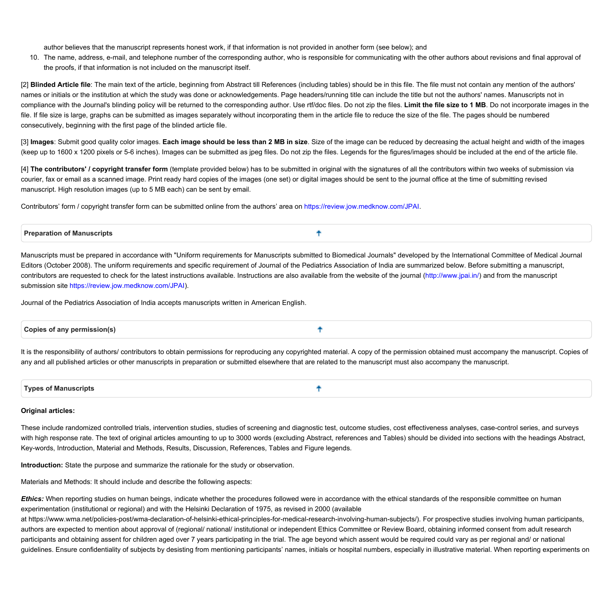author believes that the manuscript represents honest work, if that information is not provided in another form (see below); and

10. The name, address, e-mail, and telephone number of the corresponding author, who is responsible for communicating with the other authors about revisions and final approval of **the proofs, if that information is not included on the manuscript itself.**

[2] Blinded Article file: The main text of the article, beginning from Abstract till References (including tables) should be in this file. The file must not contain any mention of the authors' names or initials or the institution at which the study was done or acknowledgements. Page headers/running title can include the title but not the authors' names. Manuscripts not in compliance with the Journal's blinding policy will be returned to the corresponding author. Use rtf/doc files. Do not zip the files. Limit the file size to 1 MB. Do not incorporate images in the file. If file size is large, graphs can be submitted as images separately without incorporating them in the article file to reduce the size of the file. The pages should be numbered **consecutively, beginning with the first page of the blinded article file.**

[3] Images: Submit good quality color images. Each image should be less than 2 MB in size. Size of the image can be reduced by decreasing the actual height and width of the images (keep up to 1600 x 1200 pixels or 5-6 inches). Images can be submitted as jpeg files. Do not zip the files. Legends for the figures/images should be included at the end of the article file.

[4] The contributors' / copyright transfer form (template provided below) has to be submitted in original with the signatures of all the contributors within two weeks of submission via courier, fax or email as a scanned image. Print ready hard copies of the images (one set) or digital images should be sent to the journal office at the time of submitting revised **manuscript. High resolution images (up to 5 MB each) can be sent by email.**

Contributors' form / copyright transfer form can be submitted online from the authors' area on [https://review.jow.medknow.com/JPAI.](https://review.jow.medknow.com/JPAI)

### <span id="page-2-0"></span> **Preparation of Manuscripts**

Manuscripts must be prepared in accordance with "Uniform requirements for Manuscripts submitted to Biomedical Journals" developed by the International Committee of Medical Journal Editors (October 2008). The uniform requirements and specific requirement of Journal of the Pediatrics Association of India are summarized below. Before submitting a manuscript, contributors are requested to check for the latest instructions available. Instructions are also available from the website of the journal (<http://www.jpai.in/>) and from the manuscript **submission site [https://review.jow.medknow.com/JPAI\)](https://review.jow.medknow.com/JPAI).**

4

**Journal of the Pediatrics Association of India accepts manuscripts written in American English.**

<span id="page-2-1"></span>٠ **Copies of any permission(s)**

It is the responsibility of authors/ contributors to obtain permissions for reproducing any copyrighted material. A copy of the permission obtained must accompany the manuscript. Copies of any and all published articles or other manuscripts in preparation or submitted elsewhere that are related to the manuscript must also accompany the manuscript.

<span id="page-2-2"></span>

### **Original articles:**

These include randomized controlled trials, intervention studies, studies of screening and diagnostic test, outcome studies, cost effectiveness analyses, case-control series, and surveys with high response rate. The text of original articles amounting to up to 3000 words (excluding Abstract, references and Tables) should be divided into sections with the headings Abstract, **Key-words, Introduction, Material and Methods, Results, Discussion, References, Tables and Figure legends.**

**Introduction: State the purpose and summarize the rationale for the study or observation.** 

**Materials and Methods: It should include and describe the following aspects:**

Ethics: When reporting studies on human beings, indicate whether the procedures followed were in accordance with the ethical standards of the responsible committee on human experimentation (institutional or regional) and with the Helsinki Declaration of 1975, as revised in 2000 (available

at https://www.wma.net/policies-post/wma-declaration-of-helsinki-ethical-principles-for-medical-research-involving-human-subjects/). For prospective studies involving human participants, authors are expected to mention about approval of (regional/ national/ institutional or independent Ethics Committee or Review Board, obtaining informed consent from adult research participants and obtaining assent for children aged over 7 years participating in the trial. The age beyond which assent would be required could vary as per regional and/ or national guidelines. Ensure confidentiality of subjects by desisting from mentioning participants' names, initials or hospital numbers, especially in illustrative material. When reporting experiments on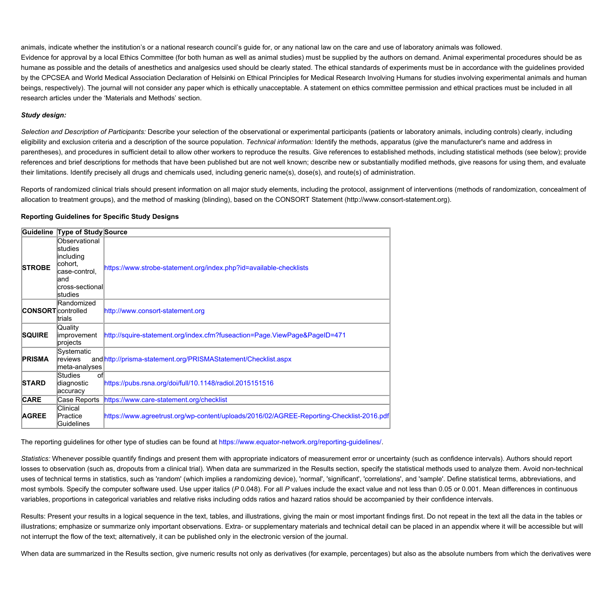animals, indicate whether the institution's or a national research council's guide for, or any national law on the care and use of laboratory animals was followed. Evidence for approval by a local Ethics Committee (for both human as well as animal studies) must be supplied by the authors on demand. Animal experimental procedures should be as humane as possible and the details of anesthetics and analgesics used should be clearly stated. The ethical standards of experiments must be in accordance with the guidelines provided by the CPCSEA and World Medical Association Declaration of Helsinki on Ethical Principles for Medical Research Involving Humans for studies involving experimental animals and human beings, respectively). The journal will not consider any paper which is ethically unacceptable. A statement on ethics committee permission and ethical practices must be included in all **research articles under the 'Materials and Methods' section.**

# *Study design:*

Selection and Description of Participants: Describe your selection of the observational or experimental participants (patients or laboratory animals, including controls) clearly, including eligibility and exclusion criteria and a description of the source population. Technical information: Identify the methods, apparatus (give the manufacturer's name and address in parentheses), and procedures in sufficient detail to allow other workers to reproduce the results. Give references to established methods, including statistical methods (see below); provide references and brief descriptions for methods that have been published but are not well known; describe new or substantially modified methods, give reasons for using them, and evaluate their limitations. Identify precisely all drugs and chemicals used, including generic name(s), dose(s), and route(s) of administration.

Reports of randomized clinical trials should present information on all major study elements, including the protocol, assignment of interventions (methods of randomization, concealment of allocation to treatment groups), and the method of masking (blinding), based on the CONSORT Statement (http://www.consort-statement.org).

# **Reporting Guidelines for Specific Study Designs**

|                           | Guideline Type of Study Source                                                                                    |                                                                                          |
|---------------------------|-------------------------------------------------------------------------------------------------------------------|------------------------------------------------------------------------------------------|
| <b>STROBE</b>             | Observational<br><b>studies</b><br>including<br>cohort.<br>case-control,<br>land<br>lcross-sectionall<br>lstudies | https://www.strobe-statement.org/index.php?id=available-checklists                       |
| <b>CONSORT</b> controlled | Randomized<br>trials                                                                                              | http://www.consort-statement.org                                                         |
| <b>SQUIRE</b>             | Quality<br>improvement<br>projects                                                                                | http://squire-statement.org/index.cfm?fuseaction=Page.ViewPage&PageID=471                |
| <b>PRISMA</b>             | Systematic<br>reviews<br>meta-analyses                                                                            | and http://prisma-statement.org/PRISMAStatement/Checklist.aspx                           |
| <b>STARD</b>              | <b>Studies</b><br>of<br>diagnostic<br>accuracy                                                                    | https://pubs.rsna.org/doi/full/10.1148/radiol.2015151516                                 |
| <b>CARE</b>               | Case Reports                                                                                                      | https://www.care-statement.org/checklist                                                 |
| <b>AGREE</b>              | Clinical<br>Practice<br>Guidelines                                                                                | https://www.agreetrust.org/wp-content/uploads/2016/02/AGREE-Reporting-Checklist-2016.pdf |

**The reporting guidelines for other type of studies can be found at <https://www.equator-network.org/reporting-guidelines/>.** 

Statistics: Whenever possible quantify findings and present them with appropriate indicators of measurement error or uncertainty (such as confidence intervals). Authors should report losses to observation (such as, dropouts from a clinical trial). When data are summarized in the Results section, specify the statistical methods used to analyze them. Avoid non-technical uses of technical terms in statistics, such as 'random' (which implies a randomizing device), 'normal', 'significant', 'correlations', and 'sample'. Define statistical terms, abbreviations, and most symbols. Specify the computer software used. Use upper italics (P 0.048). For all P values include the exact value and not less than 0.05 or 0.001. Mean differences in continuous variables, proportions in categorical variables and relative risks including odds ratios and hazard ratios should be accompanied by their confidence intervals.

Results: Present your results in a logical sequence in the text, tables, and illustrations, giving the main or most important findings first. Do not repeat in the text all the data in the tables or illustrations; emphasize or summarize only important observations. Extra- or supplementary materials and technical detail can be placed in an appendix where it will be accessible but will not interrupt the flow of the text; alternatively, it can be published only in the electronic version of the journal.

When data are summarized in the Results section, give numeric results not only as derivatives (for example, percentages) but also as the absolute numbers from which the derivatives were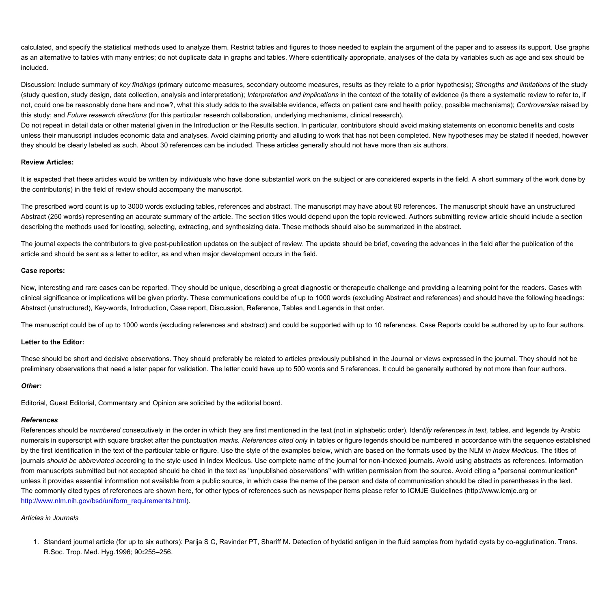calculated, and specify the statistical methods used to analyze them. Restrict tables and figures to those needed to explain the argument of the paper and to assess its support. Use graphs as an alternative to tables with many entries; do not duplicate data in graphs and tables. Where scientifically appropriate, analyses of the data by variables such as age and sex should be **included.**

Discussion: Include summary of key findings (primary outcome measures, secondary outcome measures, results as they relate to a prior hypothesis); Strengths and limitations of the study (study question, study design, data collection, analysis and interpretation); Interpretation and implications in the context of the totality of evidence (is there a systematic review to refer to, if not, could one be reasonably done here and now?, what this study adds to the available evidence, effects on patient care and health policy, possible mechanisms); Controversies raised by this study; and Future research directions (for this particular research collaboration, underlying mechanisms, clinical research).

Do not repeat in detail data or other material given in the Introduction or the Results section. In particular, contributors should avoid making statements on economic benefits and costs unless their manuscript includes economic data and analyses. Avoid claiming priority and alluding to work that has not been completed. New hypotheses may be stated if needed, however they should be clearly labeled as such. About 30 references can be included. These articles generally should not have more than six authors.

# **Review Articles:**

It is expected that these articles would be written by individuals who have done substantial work on the subject or are considered experts in the field. A short summary of the work done by **the contributor(s) in the field of review should accompany the manuscript.**

The prescribed word count is up to 3000 words excluding tables, references and abstract. The manuscript may have about 90 references. The manuscript should have an unstructured Abstract (250 words) representing an accurate summary of the article. The section titles would depend upon the topic reviewed. Authors submitting review article should include a section describing the methods used for locating, selecting, extracting, and synthesizing data. These methods should also be summarized in the abstract.

The journal expects the contributors to give post-publication updates on the subject of review. The update should be brief, covering the advances in the field after the publication of the article and should be sent as a letter to editor, as and when major development occurs in the field.

### **Case reports:**

New, interesting and rare cases can be reported. They should be unique, describing a great diagnostic or therapeutic challenge and providing a learning point for the readers. Cases with clinical significance or implications will be given priority. These communications could be of up to 1000 words (excluding Abstract and references) and should have the following headings: **Abstract (unstructured), Key-words, Introduction, Case report, Discussion, Reference, Tables and Legends in that order.**

The manuscript could be of up to 1000 words (excluding references and abstract) and could be supported with up to 10 references. Case Reports could be authored by up to four authors.

# **Letter to the Editor:**

These should be short and decisive observations. They should preferably be related to articles previously published in the Journal or views expressed in the journal. They should not be preliminary observations that need a later paper for validation. The letter could have up to 500 words and 5 references. It could be generally authored by not more than four authors.

### *Other:*

**Editorial, Guest Editorial, Commentary and Opinion are solicited by the editorial board.**

# *References*

References should be numbered consecutively in the order in which they are first mentioned in the text (not in alphabetic order). Identify references in text, tables, and legends by Arabic numerals in superscript with square bracket after the punctuation marks. References cited only in tables or figure legends should be numbered in accordance with the sequence established by the first identification in the text of the particular table or figure. Use the style of the examples below, which are based on the formats used by the NLM in Index Medicus. The titles of journals should be abbreviated according to the style used in Index Medicus. Use complete name of the journal for non-indexed journals. Avoid using abstracts as references. Information from manuscripts submitted but not accepted should be cited in the text as "unpublished observations" with written permission from the source. Avoid citing a "personal communication" unless it provides essential information not available from a public source, in which case the name of the person and date of communication should be cited in parentheses in the text. The commonly cited types of references are shown here, for other types of references such as newspaper items please refer to ICMJE Guidelines (http://www.icmje.org or **[http://www.nlm.nih.gov/bsd/uniform\\_requirements.html\)](http://www.nlm.nih.gov/bsd/uniform_requirements.html).**

# *Articles in Journals*

1. Standard journal article (for up to six authors): Parija S C, Ravinder PT, Shariff M. Detection of hydatid antigen in the fluid samples from hydatid cysts by co-agglutination. Trans. **R.Soc. Trop. Med. Hyg.1996; 90:255–256.**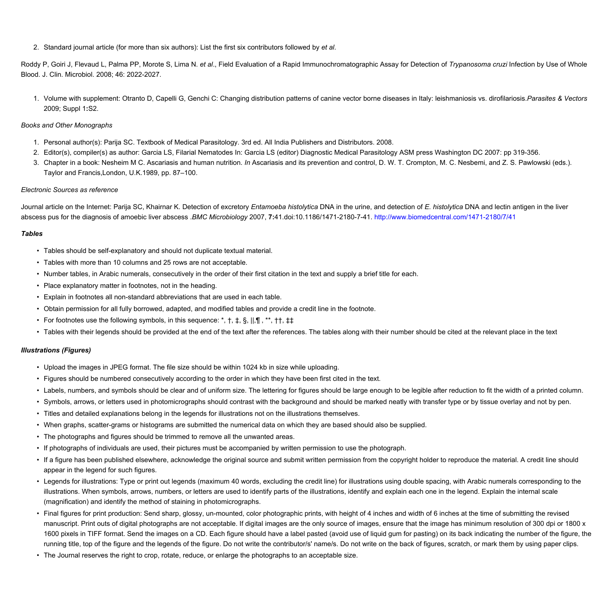2. Standard journal article (for more than six authors): List the first six contributors followed by et al.

Roddy P, Goiri J, Flevaud L, Palma PP, Morote S, Lima N. et al., Field Evaluation of a Rapid Immunochromatographic Assay for Detection of Trypanosoma cruzi Infection by Use of Whole **Blood. J. Clin. Microbiol. 2008; 46: 2022-2027.**

1. Volume with supplement: Otranto D, Capelli G, Genchi C: Changing distribution patterns of canine vector borne diseases in Italy: leishmaniosis vs. dirofilariosis. Parasites & Vectors **2009; Suppl 1:S2.** 

# *Books and Other Monographs*

- 1. Personal author(s): Parija SC. Textbook of Medical Parasitology. 3rd ed. All India Publishers and Distributors. 2008.
- 2. Editor(s), compiler(s) as author: Garcia LS, Filarial Nematodes In: Garcia LS (editor) Diagnostic Medical Parasitology ASM press Washington DC 2007: pp 319-356.
- 3. Chapter in a book: Nesheim M C. Ascariasis and human nutrition. In Ascariasis and its prevention and control, D. W. T. Crompton, M. C. Nesbemi, and Z. S. Pawlowski (eds.). **Taylor and Francis,London, U.K.1989, pp. 87–100.**

# *Electronic Sources as reference*

Journal article on the Internet: Parija SC, Khairnar K. Detection of excretory Entamoeba histolytica DNA in the urine, and detection of E. histolytica DNA and lectin antigen in the liver abscess pus for the diagnosis of amoebic liver abscess .BMC Microbiology 2007, 7:41.doi:10.1186/1471-2180-7-41.<http://www.biomedcentral.com/1471-2180/7/41>

# *Tables*

- **• Tables should be self-explanatory and should not duplicate textual material.**
- **• Tables with more than 10 columns and 25 rows are not acceptable.**
- Number tables, in Arabic numerals, consecutively in the order of their first citation in the text and supply a brief title for each.
- **• Place explanatory matter in footnotes, not in the heading.**
- **• Explain in footnotes all non-standard abbreviations that are used in each table.**
- Obtain permission for all fully borrowed, adapted, and modified tables and provide a credit line in the footnote.
- **• For footnotes use the following symbols, in this sequence: \*, †, ‡, §, ||,¶ , \*\*, ††, ‡‡**
- Tables with their legends should be provided at the end of the text after the references. The tables along with their number should be cited at the relevant place in the text

# *Illustrations (Figures)*

- Upload the images in JPEG format. The file size should be within 1024 kb in size while uploading.
- Figures should be numbered consecutively according to the order in which they have been first cited in the text.
- Labels, numbers, and symbols should be clear and of uniform size. The lettering for figures should be large enough to be legible after reduction to fit the width of a printed column.
- Symbols, arrows, or letters used in photomicrographs should contrast with the background and should be marked neatly with transfer type or by tissue overlay and not by pen.
- **• Titles and detailed explanations belong in the legends for illustrations not on the illustrations themselves.**
- When graphs, scatter-grams or histograms are submitted the numerical data on which they are based should also be supplied.
- **• The photographs and figures should be trimmed to remove all the unwanted areas.**
- If photographs of individuals are used, their pictures must be accompanied by written permission to use the photograph.
- If a figure has been published elsewhere, acknowledge the original source and submit written permission from the copyright holder to reproduce the material. A credit line should **appear in the legend for such figures.**
- Legends for illustrations: Type or print out legends (maximum 40 words, excluding the credit line) for illustrations using double spacing, with Arabic numerals corresponding to the illustrations. When symbols, arrows, numbers, or letters are used to identify parts of the illustrations, identify and explain each one in the legend. Explain the internal scale **(magnification) and identify the method of staining in photomicrographs.**
- Final figures for print production: Send sharp, glossy, un-mounted, color photographic prints, with height of 4 inches and width of 6 inches at the time of submitting the revised manuscript. Print outs of digital photographs are not acceptable. If digital images are the only source of images, ensure that the image has minimum resolution of 300 dpi or 1800 x 1600 pixels in TIFF format. Send the images on a CD. Each figure should have a label pasted (avoid use of liquid gum for pasting) on its back indicating the number of the figure, the running title, top of the figure and the legends of the figure. Do not write the contributor/s' name/s. Do not write on the back of figures, scratch, or mark them by using paper clips.
- The Journal reserves the right to crop, rotate, reduce, or enlarge the photographs to an acceptable size.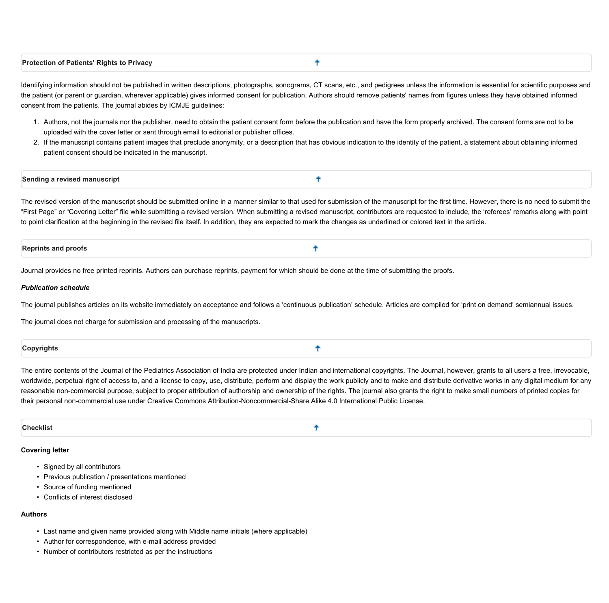<span id="page-6-0"></span>

| <b>Protection of Patients' Rights to Privacy</b> |  |
|--------------------------------------------------|--|
|--------------------------------------------------|--|

Identifying information should not be published in written descriptions, photographs, sonograms, CT scans, etc., and pedigrees unless the information is essential for scientific purposes and the patient (or parent or guardian, wherever applicable) gives informed consent for publication. Authors should remove patients' names from figures unless they have obtained informed **consent from the patients. The journal abides by ICMJE guidelines:**

- 1. Authors, not the journals nor the publisher, need to obtain the patient consent form before the publication and have the form properly archived. The consent forms are not to be **uploaded with the cover letter or sent through email to editorial or publisher offices.**
- 2. If the manuscript contains patient images that preclude anonymity, or a description that has obvious indication to the identity of the patient, a statement about obtaining informed **patient consent should be indicated in the manuscript.**

### <span id="page-6-1"></span>**Sending a revised manuscript**

The revised version of the manuscript should be submitted online in a manner similar to that used for submission of the manuscript for the first time. However, there is no need to submit the "First Page" or "Covering Letter" file while submitting a revised version. When submitting a revised manuscript, contributors are requested to include, the 'referees' remarks along with point to point clarification at the beginning in the revised file itself. In addition, they are expected to mark the changes as underlined or colored text in the article.

٠

<span id="page-6-2"></span>

| $-$<br><b>Ponrinte</b><br>oor: |
|--------------------------------|
|--------------------------------|

Journal provides no free printed reprints. Authors can purchase reprints, payment for which should be done at the time of submitting the proofs.

### *Publication schedule*

The journal publishes articles on its website immediately on acceptance and follows a 'continuous publication' schedule. Articles are compiled for 'print on demand' semiannual issues.

**The journal does not charge for submission and processing of the manuscripts.**

<span id="page-6-3"></span>

| <b>Copyrights</b> |
|-------------------|
|-------------------|

The entire contents of the Journal of the Pediatrics Association of India are protected under Indian and international copyrights. The Journal, however, grants to all users a free, irrevocable, worldwide, perpetual right of access to, and a license to copy, use, distribute, perform and display the work publicly and to make and distribute derivative works in any digital medium for any reasonable non-commercial purpose, subject to proper attribution of authorship and ownership of the rights. The journal also grants the right to make small numbers of printed copies for **their personal non-commercial use under Creative Commons Attribution-Noncommercial-Share Alike 4.0 International Public License.**

<span id="page-6-4"></span>**Checklist**

牛

### **Covering letter**

- **• Signed by all contributors**
- **• Previous publication / presentations mentioned**
- **• Source of funding mentioned**
- **• Conflicts of interest disclosed**

### **Authors**

- **• Last name and given name provided along with Middle name initials (where applicable)**
- **• Author for correspondence, with e-mail address provided**
- **• Number of contributors restricted as per the instructions**